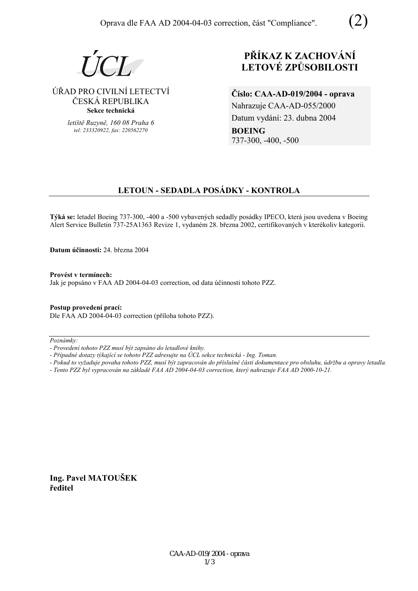$I$   $\Gamma$  $I$ 

## ⁄ŘAD PRO CIVILNÕ LETECTVÕ ČESKÁ REPUBLIKA **Sekce technická**

*letiötě Ruzyně, 160 08 Praha 6 tel: 233320922, fax: 220562270*

# **PŘÍKAZ K ZACHOVÁNÍ LETOV… ZPŮSOBILOSTI**

**ČÌslo: CAA-AD-019/2004 - oprava**  Nahrazuje CAA-AD-055/2000 Datum vydání: 23. dubna 2004 **BOEING**  737-300, -400, -500

# **LETOUN - SEDADLA POS£DKY - KONTROLA**

**Týká se:** letadel Boeing 737-300, -400 a -500 vybavených sedadly posádky IPECO, která jsou uvedena v Boeing Alert Service Bulletin 737-25A1363 Revize 1, vydaném 28. března 2002, certifikovaných v kterékoliv kategorii.

**Datum ˙činnosti:** 24. března 2004

Provést v termínech: Jak je popsáno v FAA AD 2004-04-03 correction, od data účinnosti tohoto PZZ.

### **Postup provedenÌ pracÌ:**

Dle FAA AD 2004-04-03 correction (příloha tohoto PZZ).

Poznámky:

- Případné dotazy týkající se tohoto PZZ adresujte na ÚCL sekce technická Ing. Toman.
- *Pokud to vyûaduje povaha tohoto PZZ, musÌ b˝t zapracov·n do přÌsluönÈ č·sti dokumentace pro obsluhu, ˙drûbu a opravy letadla.*
- *Tento PZZ byl vypracov·n na z·kladě FAA AD 2004-04-03 correction, kter˝ nahrazuje FAA AD 2000-10-21.*

**Ing. Pavel MATOUäEK ředitel** 

*<sup>-</sup> ProvedenÌ tohoto PZZ musÌ b˝t zaps·no do letadlovÈ knihy.*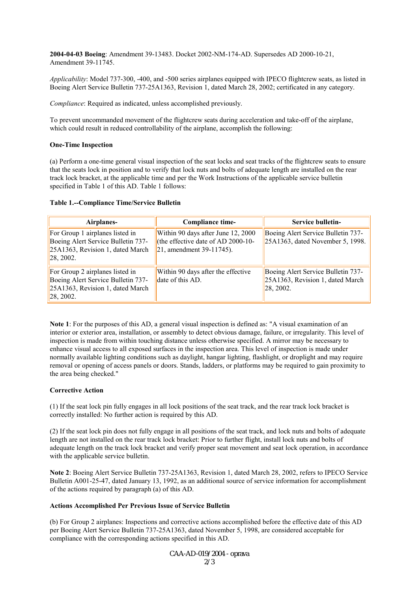**2004-04-03 Boeing**: Amendment 39-13483. Docket 2002-NM-174-AD. Supersedes AD 2000-10-21, Amendment 39-11745.

*Applicability*: Model 737-300, -400, and -500 series airplanes equipped with IPECO flightcrew seats, as listed in Boeing Alert Service Bulletin 737-25A1363, Revision 1, dated March 28, 2002; certificated in any category.

*Compliance*: Required as indicated, unless accomplished previously.

To prevent uncommanded movement of the flightcrew seats during acceleration and take-off of the airplane, which could result in reduced controllability of the airplane, accomplish the following:

#### **One-Time Inspection**

(a) Perform a one-time general visual inspection of the seat locks and seat tracks of the flightcrew seats to ensure that the seats lock in position and to verify that lock nuts and bolts of adequate length are installed on the rear track lock bracket, at the applicable time and per the Work Instructions of the applicable service bulletin specified in Table 1 of this AD. Table 1 follows:

#### **Table 1.--Compliance Time/Service Bulletin**

| Airplanes-                                                                                                              | <b>Compliance time-</b>                                                                                  | Service bulletin-                                                                    |
|-------------------------------------------------------------------------------------------------------------------------|----------------------------------------------------------------------------------------------------------|--------------------------------------------------------------------------------------|
| For Group 1 airplanes listed in<br>Boeing Alert Service Bulletin 737-<br>25A1363, Revision 1, dated March<br>28, 2002.  | Within 90 days after June 12, 2000<br>(the effective date of AD 2000-10-<br>$ 21$ , amendment 39-11745). | Boeing Alert Service Bulletin 737-<br>25A1363, dated November 5, 1998.               |
| For Group 2 airplanes listed in<br>Boeing Alert Service Bulletin 737-<br>25A1363, Revision 1, dated March<br> 28, 2002. | Within 90 days after the effective<br>date of this AD.                                                   | Boeing Alert Service Bulletin 737-<br>25A1363, Revision 1, dated March<br>[28, 2002] |

**Note 1**: For the purposes of this AD, a general visual inspection is defined as: "A visual examination of an interior or exterior area, installation, or assembly to detect obvious damage, failure, or irregularity. This level of inspection is made from within touching distance unless otherwise specified. A mirror may be necessary to enhance visual access to all exposed surfaces in the inspection area. This level of inspection is made under normally available lighting conditions such as daylight, hangar lighting, flashlight, or droplight and may require removal or opening of access panels or doors. Stands, ladders, or platforms may be required to gain proximity to the area being checked."

#### **Corrective Action**

(1) If the seat lock pin fully engages in all lock positions of the seat track, and the rear track lock bracket is correctly installed: No further action is required by this AD.

(2) If the seat lock pin does not fully engage in all positions of the seat track, and lock nuts and bolts of adequate length are not installed on the rear track lock bracket: Prior to further flight, install lock nuts and bolts of adequate length on the track lock bracket and verify proper seat movement and seat lock operation, in accordance with the applicable service bulletin.

**Note 2**: Boeing Alert Service Bulletin 737-25A1363, Revision 1, dated March 28, 2002, refers to IPECO Service Bulletin A001-25-47, dated January 13, 1992, as an additional source of service information for accomplishment of the actions required by paragraph (a) of this AD.

#### **Actions Accomplished Per Previous Issue of Service Bulletin**

(b) For Group 2 airplanes: Inspections and corrective actions accomplished before the effective date of this AD per Boeing Alert Service Bulletin 737-25A1363, dated November 5, 1998, are considered acceptable for compliance with the corresponding actions specified in this AD.

> CAA-AD-019/2004 - oprava 2/3